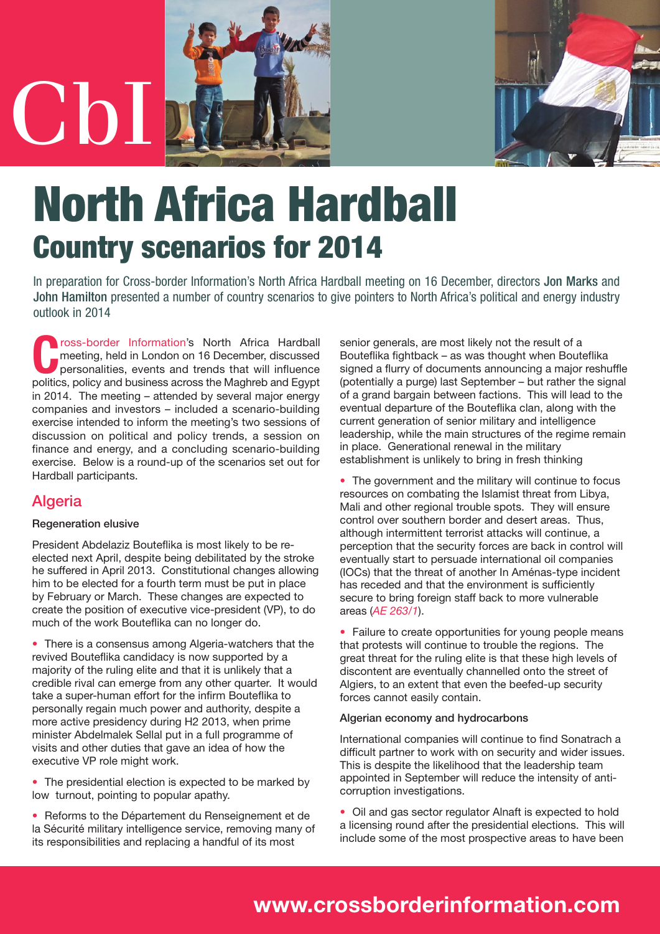

# **North Africa Hardball Country scenarios for 2014**

In preparation for Cross-border Information's North Africa Hardball meeting on 16 December, directors Jon Marks and John Hamilton presented a number of country scenarios to give pointers to North Africa's political and energy industry outlook in 2014

**[C](http://www.crossborderinformation.com)**ross-border Informatio[n'](http://www.crossborderinformation.com)s North Africa Hardball<br>
personalities, events and trends that will influence<br>
politics policy and business across the Magbreb and Equat meeting, held in London on 16 December, discussed politics, policy and business across the Maghreb and Egypt in 2014. The meeting – attended by several major energy companies and investors – included a scenario-building exercise intended to inform the meeting's two sessions of discussion on political and policy trends, a session on finance and energy, and a concluding scenario-building exercise. Below is a round-up of the scenarios set out for Hardball participants.

# **Algeria**

#### **Regeneration elusive**

President Abdelaziz Bouteflika is most likely to be reelected next April, despite being debilitated by the stroke he suffered in April 2013. Constitutional changes allowing him to be elected for a fourth term must be put in place by February or March. These changes are expected to create the position of executive vice-president (VP), to do much of the work Bouteflika can no longer do.

• There is a consensus among Algeria-watchers that the revived Bouteflika candidacy is now supported by a majority of the ruling elite and that it is unlikely that a credible rival can emerge from any other quarter. It would take a super-human effort for the infirm Bouteflika to personally regain much power and authority, despite a more active presidency during H2 2013, when prime minister Abdelmalek Sellal put in a full programme of visits and other duties that gave an idea of how the executive VP role might work.

• The presidential election is expected to be marked by low turnout, pointing to popular apathy.

• Reforms to the Département du Renseignement et de la Sécurité military intelligence service, removing many of its responsibilities and replacing a handful of its most

senior generals, are most likely not the result of a Bouteflika fightback – as was thought when Bouteflika signed a flurry of documents announcing a major reshuffle (potentially a purge) last September – but rather the signal of a grand bargain between factions. This will lead to the eventual departure of the Bouteflika clan, along with the current generation of senior military and intelligence leadership, while the main structures of the regime remain in place. Generational renewal in the military establishment is unlikely to bring in fresh thinking

• The government and the military will continue to focus resources on combating the Islamist threat from Libya, Mali and other regional trouble spots. They will ensure control over southern border and desert areas. Thus, although intermittent terrorist attacks will continue, a perception that the security forces are back in control will eventually start to persuade international oil companies (IOCs) that the threat of another In Aménas-type incident has receded and that the environment is sufficiently secure to bring foreign staff back to more vulnerable areas (*AE [263/1](http://archive.crossborderinformation.com/Article/%ef%bb%bfDust+refuses+to+settle+as+IOCs+assess+the+fallout+from+the+Algerian+gasfield+massacre.aspx?date=20131010#full)*).

• Failure to create opportunities for young people means that protests will continue to trouble the regions. The great threat for the ruling elite is that these high levels of discontent are eventually channelled onto the street of Algiers, to an extent that even the beefed-up security forces cannot easily contain.

#### Algerian economy and hydrocarbons

International companies will continue to find Sonatrach a difficult partner to work with on security and wider issues. This is despite the likelihood that the leadership team appointed in September will reduce the intensity of anticorruption investigations.

• Oil and gas sector regulator Alnaft is expected to hold a licensing round after the presidential elections. This will include some of the most prospective areas to have been

# **[www.crossborderinformation.com](http://www.crossborderinformation.com)**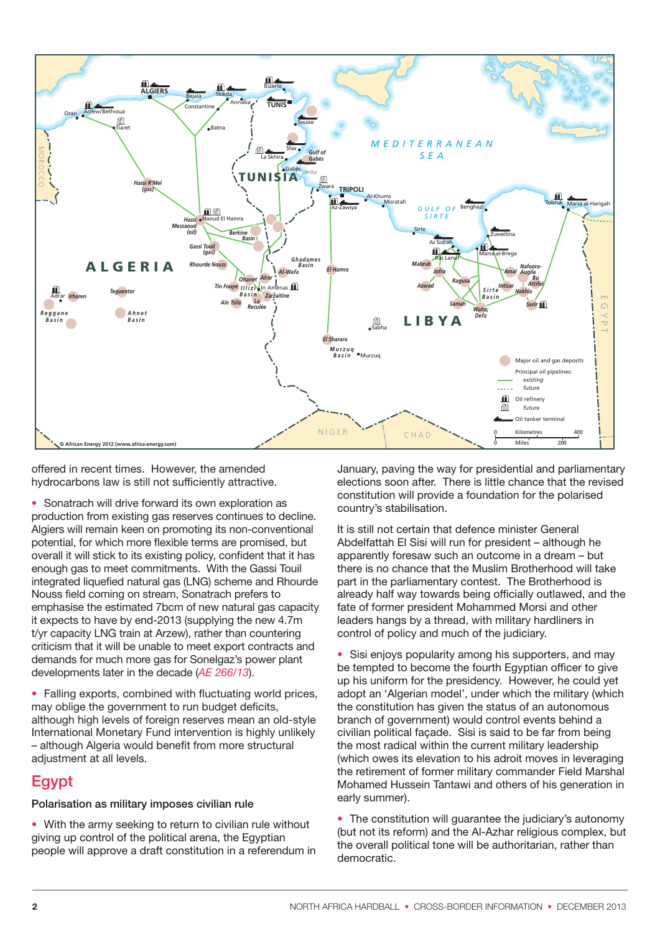

offered in recent times. However, the amended hydrocarbons law is still not sufficiently attractive.

• Sonatrach will drive forward its own exploration as production from existing gas reserves continues to decline. Algiers will remain keen on promoting its non-conventional potential, for which more flexible terms are promised, but overall it will stick to its existing policy, confident that it has enough gas to meet commitments. With the Gassi Touil integrated liquefied natural gas (LNG) scheme and Rhourde Nouss field coming on stream, Sonatrach prefers to emphasise the estimated 7bcm of new natural gas capacity it expects to have by end-2013 (supplying the new 4.7m t/yr capacity LNG train at Arzew), rather than countering criticism that it will be unable to meet export contracts and demands for much more gas for Sonelgaz's power plant developments later in the decade (*AE [266/13](http://archive.crossborderinformation.com/Article/Algeria+Petrofac%2fBonatti+awarded+%24650m+EPC+contract.aspx?date=20131126#full)*).

• Falling exports, combined with fluctuating world prices, may oblige the government to run budget deficits, although high levels of foreign reserves mean an old-style International Monetary Fund intervention is highly unlikely – although Algeria would benefit from more structural adjustment at all levels.

# **Egypt**

**Polarisation as military imposes civilian rule**

• With the army seeking to return to civilian rule without giving up control of the political arena, the Egyptian people will approve a draft constitution in a referendum in January, paving the way for presidential and parliamentary elections soon after. There is little chance that the revised constitution will provide a foundation for the polarised country's stabilisation.

It is still not certain that defence minister General Abdelfattah El Sisi will run for president – although he apparently foresaw such an outcome in a dream – but there is no chance that the Muslim Brotherhood will take part in the parliamentary contest. The Brotherhood is already half way towards being officially outlawed, and the fate of former president Mohammed Morsi and other leaders hangs by a thread, with military hardliners in control of policy and much of the judiciary.

• Sisi enjoys popularity among his supporters, and may be tempted to become the fourth Egyptian officer to give up his uniform for the presidency. However, he could yet adopt an 'Algerian model', under which the military (which the constitution has given the status of an autonomous branch of government) would control events behind a civilian political façade. Sisi is said to be far from being the most radical within the current military leadership (which owes its elevation to his adroit moves in leveraging the retirement of former military commander Field Marshal Mohamed Hussein Tantawi and others of his generation in early summer).

• The constitution will guarantee the judiciary's autonomy (but not its reform) and the Al-Azhar religious complex, but the overall political tone will be authoritarian, rather than democratic.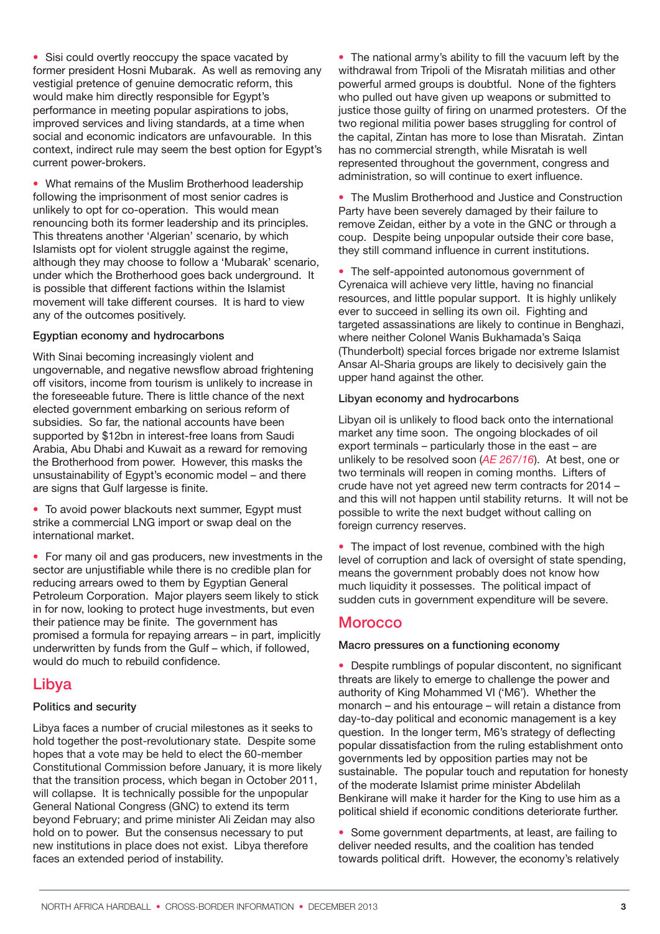• Sisi could overtly reoccupy the space vacated by former president Hosni Mubarak. As well as removing any vestigial pretence of genuine democratic reform, this would make him directly responsible for Egypt's performance in meeting popular aspirations to jobs, improved services and living standards, at a time when social and economic indicators are unfavourable. In this context, indirect rule may seem the best option for Egypt's current power-brokers.

• What remains of the Muslim Brotherhood leadership following the imprisonment of most senior cadres is unlikely to opt for co-operation. This would mean renouncing both its former leadership and its principles. This threatens another 'Algerian' scenario, by which Islamists opt for violent struggle against the regime, although they may choose to follow a 'Mubarak' scenario, under which the Brotherhood goes back underground. It is possible that different factions within the Islamist movement will take different courses. It is hard to view any of the outcomes positively.

#### **Egyptian economy and hydrocarbons**

With Sinai becoming increasingly violent and ungovernable, and negative newsflow abroad frightening off visitors, income from tourism is unlikely to increase in the foreseeable future. There is little chance of the next elected government embarking on serious reform of subsidies. So far, the national accounts have been supported by \$12bn in interest-free loans from Saudi Arabia, Abu Dhabi and Kuwait as a reward for removing the Brotherhood from power. However, this masks the unsustainability of Egypt's economic model – and there are signs that Gulf largesse is finite.

• To avoid power blackouts next summer, Egypt must strike a commercial LNG import or swap deal on the international market.

• For many oil and gas producers, new investments in the sector are unjustifiable while there is no credible plan for reducing arrears owed to them by Egyptian General Petroleum Corporation. Major players seem likely to stick in for now, looking to protect huge investments, but even their patience may be finite. The government has promised a formula for repaying arrears – in part, implicitly underwritten by funds from the Gulf – which, if followed, would do much to rebuild confidence.

## **Libya**

#### Politics and security

Libya faces a number of crucial milestones as it seeks to hold together the post-revolutionary state. Despite some hopes that a vote may be held to elect the 60-member Constitutional Commission before January, it is more likely that the transition process, which began in October 2011, will collapse. It is technically possible for the unpopular General National Congress (GNC) to extend its term beyond February; and prime minister Ali Zeidan may also hold on to power. But the consensus necessary to put new institutions in place does not exist. Libya therefore faces an extended period of instability.

• The national army's ability to fill the vacuum left by the withdrawal from Tripoli of the Misratah militias and other powerful armed groups is doubtful. None of the fighters who pulled out have given up weapons or submitted to justice those guilty of firing on unarmed protesters. Of the two regional militia power bases struggling for control of the capital, Zintan has more to lose than Misratah. Zintan has no commercial strength, while Misratah is well represented throughout the government, congress and administration, so will continue to exert influence.

• The Muslim Brotherhood and Justice and Construction Party have been severely damaged by their failure to remove Zeidan, either by a vote in the GNC or through a coup. Despite being unpopular outside their core base, they still command influence in current institutions.

• The self-appointed autonomous government of Cyrenaica will achieve very little, having no financial resources, and little popular support. It is highly unlikely ever to succeed in selling its own oil. Fighting and targeted assassinations are likely to continue in Benghazi, where neither Colonel Wanis Bukhamada's Saiqa (Thunderbolt) special forces brigade nor extreme Islamist Ansar Al-Sharia groups are likely to decisively gain the upper hand against the other.

#### **Libyan economy and hydrocarbons**

Libyan oil is unlikely to flood back onto the international market any time soon. The ongoing blockades of oil export terminals – particularly those in the east – are unlikely to be resolved soon (*AE [267/16](http://archive.crossborderinformation.com/Article/Oil+blockades+threaten+Libya%e2%80%99s+financial+security.aspx?date=20131206&#full)*). At best, one or two terminals will reopen in coming months. Lifters of crude have not yet agreed new term contracts for 2014 – and this will not happen until stability returns. It will not be possible to write the next budget without calling on foreign currency reserves.

• The impact of lost revenue, combined with the high level of corruption and lack of oversight of state spending, means the government probably does not know how much liquidity it possesses. The political impact of sudden cuts in government expenditure will be severe.

## **Morocco**

#### **Macro pressures on a functioning economy**

• Despite rumblings of popular discontent, no significant threats are likely to emerge to challenge the power and authority of King Mohammed VI ('M6'). Whether the monarch – and his entourage – will retain a distance from day-to-day political and economic management is a key question. In the longer term, M6's strategy of deflecting popular dissatisfaction from the ruling establishment onto governments led by opposition parties may not be sustainable. The popular touch and reputation for honesty of the moderate Islamist prime minister Abdelilah Benkirane will make it harder for the King to use him as a political shield if economic conditions deteriorate further.

• Some government departments, at least, are failing to deliver needed results, and the coalition has tended towards political drift. However, the economy's relatively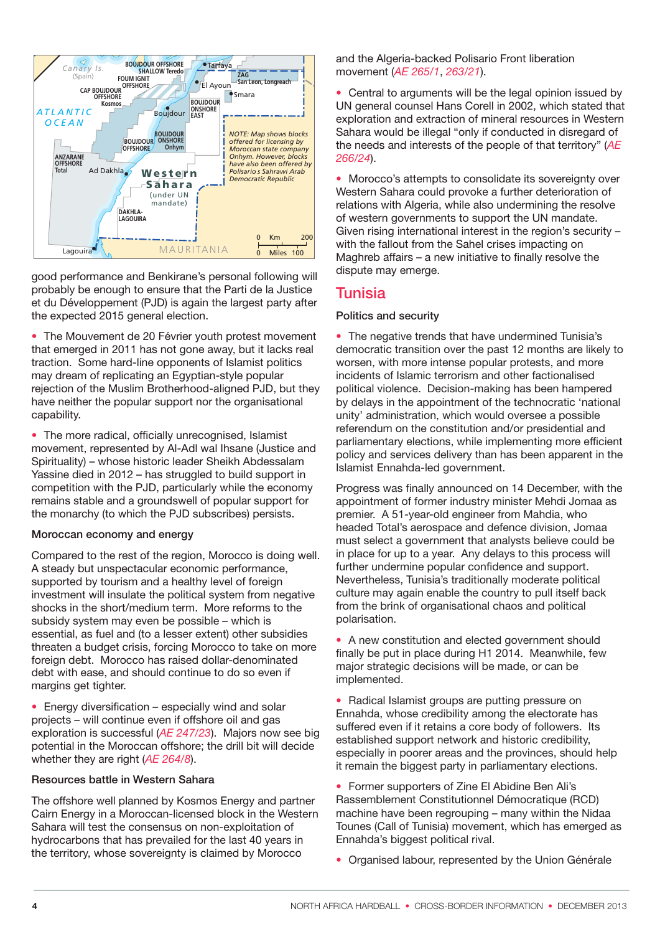

good performance and Benkirane's personal following will probably be enough to ensure that the Parti de la Justice et du Développement (PJD) is again the largest party after the expected 2015 general election.

The Mouvement de 20 Février youth protest movement that emerged in 2011 has not gone away, but it lacks real traction. Some hard-line opponents of Islamist politics may dream of replicating an Egyptian-style popular rejection of the Muslim Brotherhood-aligned PJD, but they have neither the popular support nor the organisational capability.

• The more radical, officially unrecognised, Islamist movement, represented by Al-Adl wal Ihsane (Justice and Spirituality) – whose historic leader Sheikh Abdessalam Yassine died in 2012 – has struggled to build support in competition with the PJD, particularly while the economy remains stable and a groundswell of popular support for the monarchy (to which the PJD subscribes) persists.

#### **Moroccan economy and energy**

Compared to the rest of the region, Morocco is doing well. A steady but unspectacular economic performance, supported by tourism and a healthy level of foreign investment will insulate the political system from negative shocks in the short/medium term. More reforms to the subsidy system may even be possible – which is essential, as fuel and (to a lesser extent) other subsidies threaten a budget crisis, forcing Morocco to take on more foreign debt. Morocco has raised dollar-denominated debt with ease, and should continue to do so even if margins get tighter.

• Energy diversification – especially wind and solar projects – will continue even if offshore oil and gas exploration is successful (*AE [247/23](http://archive.crossborderinformation.com/Article/Morocco+pushes+security+from+renewables+with+new+solar+tenders.aspx?date=20130131#full)*). Majors now see big potential in the Moroccan offshore; the drill bit will decide whether they are right (*AE [264/8](http://archive.crossborderinformation.com/Article/%ef%bb%bfBP+takes+Morocco+stake+as+drilling+set+to+test+potential+new+frontier%e2%80%a9.aspx?date=20131024#full)*).

#### **Resources battle in Western Sahara**

The offshore well planned by Kosmos Energy and partner Cairn Energy in a Moroccan-licensed block in the Western Sahara will test the consensus on non-exploitation of hydrocarbons that has prevailed for the last 40 years in the territory, whose sovereignty is claimed by Morocco

and the Algeria-backed Polisario Front liberation movement (*AE [265/1](http://archive.crossborderinformation.com/Article/%ef%bb%bfGeopolitical+questions+loom+on+the+Atlantic+Margin%2c+as+Kosmos+plans+to+drill+offshore+Western+Sahara.aspx?date=20131107#full)*, *[263/21](http://archive.crossborderinformation.com/Article/%ef%bb%bfWestern+Sahara+returns+to+prominence+but+lasting+solution+still+elusive.aspx?date=20131012#full)*).

• Central to arguments will be the legal opinion issued by UN general counsel Hans Corell in 2002, which stated that exploration and extraction of mineral resources in Western Sahara would be illegal "only if conducted in disregard of the needs and interests of the people of that territory" (*[AE](http://archive.crossborderinformation.com/Article/%ef%bb%bfKosmos+drilling+plan+stirs+hornets%e2%80%99+nest+in+Western+Sahara.aspx?date=20131122#full) [266/24](http://archive.crossborderinformation.com/Article/%ef%bb%bfKosmos+drilling+plan+stirs+hornets%e2%80%99+nest+in+Western+Sahara.aspx?date=20131122#full)*).

• Morocco's attempts to consolidate its sovereignty over Western Sahara could provoke a further deterioration of relations with Algeria, while also undermining the resolve of western governments to support the UN mandate. Given rising international interest in the region's security – with the fallout from the Sahel crises impacting on Maghreb affairs – a new initiative to finally resolve the dispute may emerge.

### **Tunisia**

#### **Politics and security**

• The negative trends that have undermined Tunisia's democratic transition over the past 12 months are likely to worsen, with more intense popular protests, and more incidents of Islamic terrorism and other factionalised political violence. Decision-making has been hampered by delays in the appointment of the technocratic 'national unity' administration, which would oversee a possible referendum on the constitution and/or presidential and parliamentary elections, while implementing more efficient policy and services delivery than has been apparent in the Islamist Ennahda-led government.

Progress was finally announced on 14 December, with the appointment of former industry minister Mehdi Jomaa as premier. A 51-year-old engineer from Mahdia, who headed Total's aerospace and defence division, Jomaa must select a government that analysts believe could be in place for up to a year. Any delays to this process will further undermine popular confidence and support. Nevertheless, Tunisia's traditionally moderate political culture may again enable the country to pull itself back from the brink of organisational chaos and political polarisation.

• A new constitution and elected government should finally be put in place during H1 2014. Meanwhile, few major strategic decisions will be made, or can be implemented.

• Radical Islamist groups are putting pressure on Ennahda, whose credibility among the electorate has suffered even if it retains a core body of followers. Its established support network and historic credibility, especially in poorer areas and the provinces, should help it remain the biggest party in parliamentary elections.

• Former supporters of Zine El Abidine Ben Ali's Rassemblement Constitutionnel Démocratique (RCD) machine have been regrouping – many within the Nidaa Tounes (Call of Tunisia) movement, which has emerged as Ennahda's biggest political rival.

• Organised labour, represented by the Union Générale